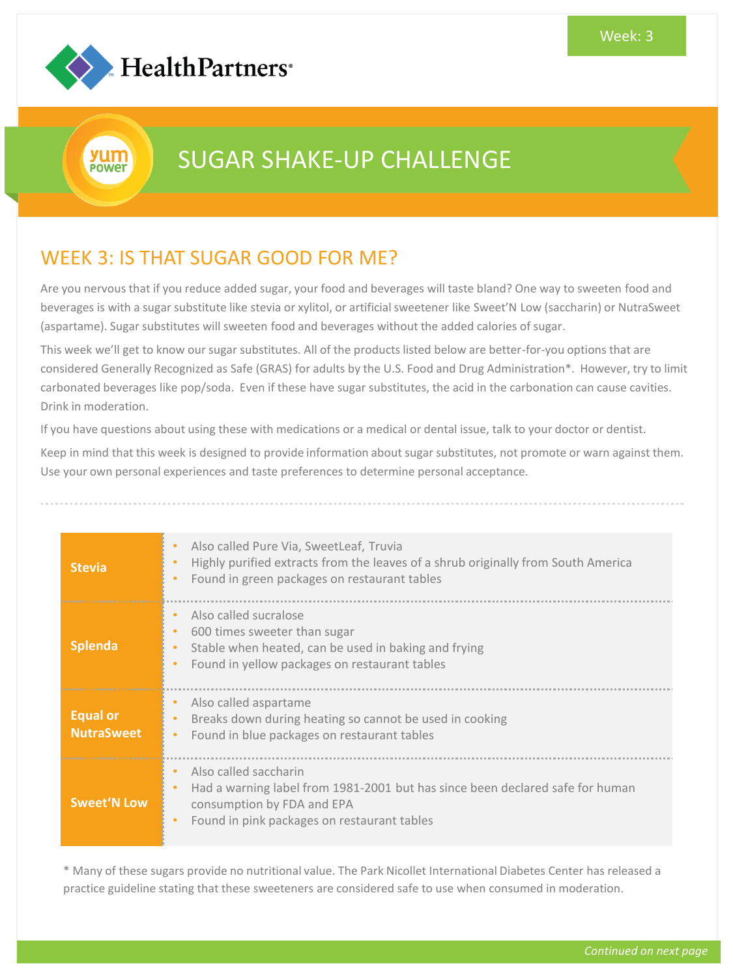

yum **POWET** 

## SUGAR SHAKE-UP CHALLENGE

## WEEK 3: IS THAT SUGAR GOOD FOR ME?

Are you nervous that if you reduce added sugar, your food and beverages will taste bland? One way to sweeten food and beverages is with a sugar substitute like stevia or xylitol, or artificial sweetener like Sweet'N Low (saccharin) or NutraSweet (aspartame). Sugar substitutes will sweeten food and beverages without the added calories of sugar.

This week we'll get to know our sugar substitutes. All of the products listed below are better-for-you options that are considered Generally Recognized as Safe (GRAS) for adults by the U.S. Food and Drug Administration\*. However, try to limit carbonated beverages like pop/soda. Even if these have sugar substitutes, the acid in the carbonation can cause cavities. Drink in moderation.

If you have questions about using these with medications or a medical or dental issue, talk to your doctor or dentist.

Keep in mind that this week is designed to provide information about sugar substitutes, not promote or warn against them. Use your own personal experiences and taste preferences to determine personal acceptance.

| <b>Stevia</b>                        | Also called Pure Via, SweetLeaf, Truvia<br>$\bullet$<br>Highly purified extracts from the leaves of a shrub originally from South America<br>$\bullet$<br>Found in green packages on restaurant tables<br>$\bullet$ |
|--------------------------------------|---------------------------------------------------------------------------------------------------------------------------------------------------------------------------------------------------------------------|
| <b>Splenda</b>                       | Also called sucralose<br>$\bullet$<br>600 times sweeter than sugar<br>٠<br>Stable when heated, can be used in baking and frying<br>$\bullet$<br>Found in yellow packages on restaurant tables<br>$\bullet$          |
| <b>Equal or</b><br><b>NutraSweet</b> | Also called aspartame<br>Breaks down during heating so cannot be used in cooking<br>Found in blue packages on restaurant tables<br>$\bullet$                                                                        |
| Sweet'N Low                          | Also called saccharin<br>Had a warning label from 1981-2001 but has since been declared safe for human<br>consumption by FDA and EPA<br>Found in pink packages on restaurant tables                                 |

\* Many of these sugars provide no nutritional value. The Park Nicollet International Diabetes Center has released a practice guideline stating that these sweeteners are considered safe to use when consumed in moderation.